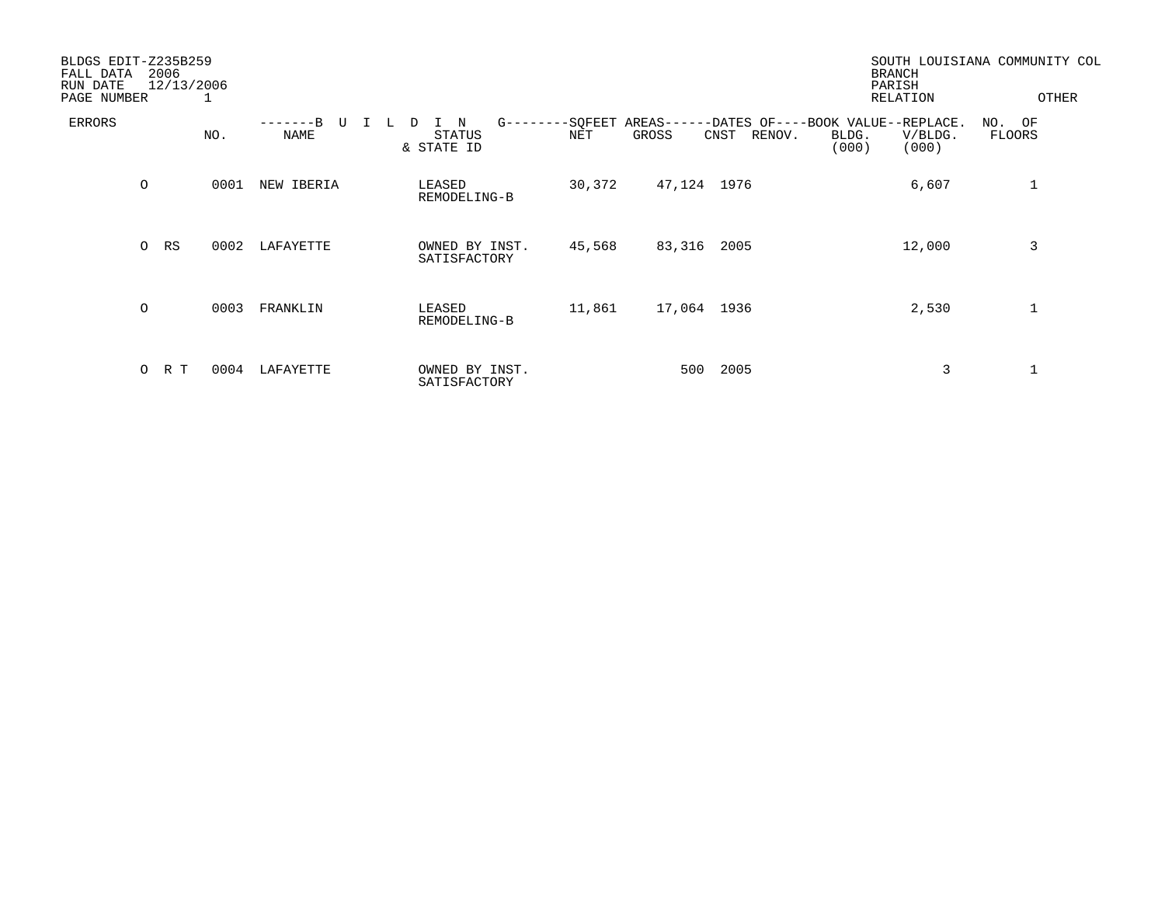| BLDGS EDIT-Z235B259<br>2006<br>FALL DATA<br>12/13/2006<br>RUN DATE<br>PAGE NUMBER<br>- 1 |         |     |      |            |   |                                |               |                        |       |        | <b>BRANCH</b><br>PARISH<br>RELATION                  |                | SOUTH LOUISIANA COMMUNITY COL<br>OTHER |                  |  |
|------------------------------------------------------------------------------------------|---------|-----|------|------------|---|--------------------------------|---------------|------------------------|-------|--------|------------------------------------------------------|----------------|----------------------------------------|------------------|--|
| ERRORS                                                                                   |         |     | NO.  | NAME       | D | N<br>STATUS<br>& STATE ID      | $G - - - - -$ | -SQFEET AREAS--<br>NET | GROSS |        | --DATES OF----BOOK VALUE--REPLACE.<br>CNST<br>RENOV. | BLDG.<br>(000) | V/BLDG.<br>(000)                       | NO. OF<br>FLOORS |  |
|                                                                                          | $\circ$ |     | 0001 | NEW IBERIA |   | LEASED<br>REMODELING-B         |               | 30,372                 |       |        | 47,124 1976                                          |                | 6,607                                  | 1                |  |
|                                                                                          | $\circ$ | RS  | 0002 | LAFAYETTE  |   | OWNED BY INST.<br>SATISFACTORY |               | 45,568                 |       | 83,316 | 2005                                                 |                | 12,000                                 | 3                |  |
|                                                                                          | $\circ$ |     | 0003 | FRANKLIN   |   | LEASED<br>REMODELING-B         |               | 11,861                 |       |        | 17,064 1936                                          |                | 2,530                                  |                  |  |
|                                                                                          | $\circ$ | R T | 0004 | LAFAYETTE  |   | OWNED BY INST.<br>SATISFACTORY |               |                        |       | 500    | 2005                                                 |                | 3                                      |                  |  |